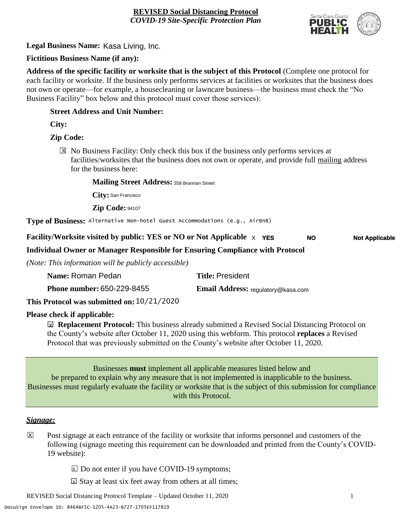

**Legal Business Name:** Kasa Living, Inc.

# **Fictitious Business Name (if any):**

**Address of the specific facility or worksite that is the subject of this Protocol** (Complete one protocol for each facility or worksite. If the business only performs services at facilities or worksites that the business does not own or operate—for example, a housecleaning or lawncare business—the business must check the "No Business Facility" box below and this protocol must cover those services):

# **Street Address and Unit Number:**

**City:**

# **Zip Code:**

 $\boxtimes$  No Business Facility: Only check this box if the business only performs services at facilities/worksites that the business does not own or operate, and provide full mailing address for the business here:

#### **Mailing Street Address:** 358 Brannan Street

**City:** San Francisco

**Zip Code:** 94107

**Type of Business:** Alternative Non-hotel Guest Accommodations (e.g., AirBnB)

#### **Facility/Worksite visited by public: YES or NO or Not Applicable**  $\times$  **YES Not Applicable NO**

# **Individual Owner or Manager Responsible for Ensuring Compliance with Protocol**

*(Note: This information will be publicly accessible)*

| Name: Roman Pedan                            | <b>Title: President</b>                   |
|----------------------------------------------|-------------------------------------------|
| <b>Phone number: 650-229-8455</b>            | <b>Email Address:</b> regulatory@kasa.com |
| This Protocol was submitted on: $10/21/2020$ |                                           |

#### **Please check if applicable:**

**<u><b>⊠**</u> Replacement Protocol: This business already submitted a Revised Social Distancing Protocol on the County's website after October 11, 2020 using this webform. This protocol **replaces** a Revised Protocol that was previously submitted on the County's website after October 11, 2020.

Businesses **must** implement all applicable measures listed below and be prepared to explain why any measure that is not implemented is inapplicable to the business. Businesses must regularly evaluate the facility or worksite that is the subject of this submission for compliance with this Protocol.

#### *Signage:*

- Post signage at each entrance of the facility or worksite that informs personnel and customers of the following (signage meeting this requirement can be downloaded and printed from the County's COVID-19 website):  $|\overline{x}|$ 
	- $\boxed{\times}$  Do not enter if you have COVID-19 symptoms;
	- $\boxtimes$  Stay at least six feet away from others at all times;

REVISED Social Distancing Protocol Template – Updated October 11, 2020 1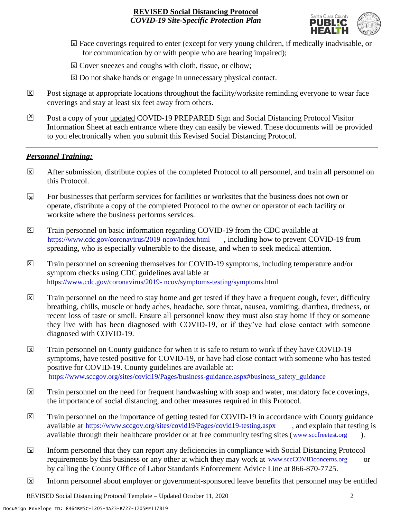

- ☐ Face coverings required to enter (except for very young children, if medically inadvisable, or X for communication by or with people who are hearing impaired);
- ⊠ Cover sneezes and coughs with cloth, tissue, or elbow;
- ⊠ Do not shake hands or engage in unnecessary physical contact.
- Post signage at appropriate locations throughout the facility/worksite reminding everyone to wear face coverings and stay at least six feet away from others. X
- Post a copy of your updated COVID-19 PREPARED Sign and Social Distancing Protocol Visitor Information Sheet at each entrance where they can easily be viewed. These documents will be provided to you electronically when you submit this Revised Social Distancing Protocol.  $\mathbb{Z}$

#### *Personnel Training:*

- After submission, distribute copies of the completed Protocol to all personnel, and train all personnel on this Protocol.  $\mathbf x$
- For businesses that perform services for facilities or worksites that the business does not own or operate, distribute a copy of the completed Protocol to the owner or operator of each facility or worksite where the business performs services.  $\mathbf{v}$
- Train personnel on basic information regarding COVID-19 from the CDC available at [https://www.cdc.gov/coronavirus/2019-ncov/index.html,](https://www.cdc.gov/coronavirus/2019-ncov/index.html) including how to prevent COVID-19 from spreading, who is especially vulnerable to the disease, and when to seek medical attention.  $\mathsf{X}$
- Train personnel on screening themselves for COVID-19 symptoms, including temperature and/or symptom checks using CDC guidelines available at [https://www.cdc.gov/coronavirus/2019-](https://www.cdc.gov/coronavirus/2019-ncov/symptoms-testing/symptoms.html) [ncov/symptoms-testing/symptoms.html.](https://www.cdc.gov/coronavirus/2019-ncov/symptoms-testing/symptoms.html) https://www.cdc.gov/coronavirus/2019- ncov/symptoms-testing/symptoms.html  $|\mathsf{X}|$
- Train personnel on the need to stay home and get tested if they have a frequent cough, fever, difficulty breathing, chills, muscle or body aches, headache, sore throat, nausea, vomiting, diarrhea, tiredness, or recent loss of taste or smell. Ensure all personnel know they must also stay home if they or someone they live with has been diagnosed with COVID-19, or if they've had close contact with someone diagnosed with COVID-19.  $\overline{\mathsf{x}}$
- Train personnel on County guidance for when it is safe to return to work if they have COVID-19 symptoms, have tested positive for COVID-19, or have had close contact with someone who has tested positive for COVID-19. County guidelines are available at: [https://www.sccgov.org/sites/covid19/Pages/business-guidance.aspx#business\\_safety\\_guidance.](https://www.sccgov.org/sites/covid19/Pages/business-guidance.aspx#business_safety_guidance.) https://www.sccgov.org/sites/covid19/Pages/business-guidance.aspx#business\_safety\_guidance X
- Train personnel on the need for frequent handwashing with soap and water, mandatory face coverings, the importance of social distancing, and other measures required in this Protocol.  $\overline{\mathsf{x}}$
- Train personnel on the importance of getting tested for COVID-19 in accordance with County guidance available at [https://www.sccgov.org/sites/covid19/Pages/covid19-testing.aspx,](https://www.sccgov.org/sites/covid19/Pages/covid19-testing.aspx) and explain that testing is available through their healthcare provider or at free community testing sites [\(www.sccfreetest.org](http://www.sccfreetest.org/) ).  $\vert X \vert$
- Inform personnel that they can report any deficiencies in compliance with Social Distancing Protocol requirements by this business or any other at which they may work at [www.sccCOVIDconcerns.org](http://www.scccovidconcerns.org/) or by calling the County Office of Labor Standards Enforcement Advice Line at 866-870-7725.  $\overline{\mathbf{x}}$
- Inform personnel about employer or government-sponsored leave benefits that personnel may be entitled  $\boxtimes$

REVISED Social Distancing Protocol Template – Updated October 11, 2020 2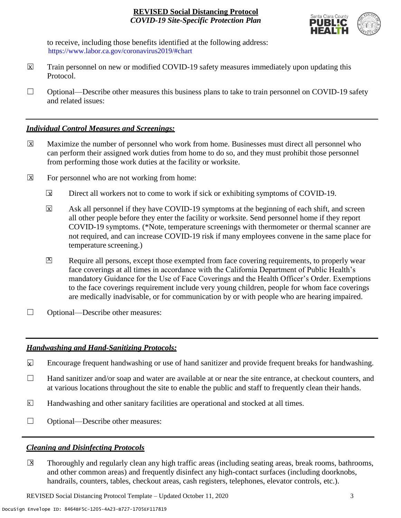

to receive, including those benefits identified at the following address: [https://www.labor.ca.gov/coronavirus2019/#chart.](https://www.labor.ca.gov/coronavirus2019/#chart) https://www.labor.ca.gov/coronavirus2019/#chart

- Train personnel on new or modified COVID-19 safety measures immediately upon updating this Protocol.  $\boxtimes$
- $\Box$  Optional—Describe other measures this business plans to take to train personnel on COVID-19 safety and related issues:

#### *Individual Control Measures and Screenings:*

- Maximize the number of personnel who work from home. Businesses must direct all personnel who can perform their assigned work duties from home to do so, and they must prohibit those personnel from performing those work duties at the facility or worksite.  $|\overline{X}|$
- For personnel who are not working from home:  $\boxtimes$ 
	- Direct all workers not to come to work if sick or exhibiting symptoms of COVID-19.  $\overline{\mathbf{x}}$
	- Ask all personnel if they have COVID-19 symptoms at the beginning of each shift, and screen all other people before they enter the facility or worksite. Send personnel home if they report COVID-19 symptoms. (\*Note, temperature screenings with thermometer or thermal scanner are not required, and can increase COVID-19 risk if many employees convene in the same place for temperature screening.) X
	- Require all persons, except those exempted from face covering requirements, to properly wear face coverings at all times in accordance with the California Department of Public Health's mandatory Guidance for the Use of Face Coverings and the Health Officer's Order. Exemptions to the face coverings requirement include very young children, people for whom face coverings are medically inadvisable, or for communication by or with people who are hearing impaired.  $\mathbf{X}$
- ☐ Optional—Describe other measures:

# *Handwashing and Hand-Sanitizing Protocols:*

- Encourage frequent handwashing or use of hand sanitizer and provide frequent breaks for handwashing.  $\mathbf x$
- ☐ Hand sanitizer and/or soap and water are available at or near the site entrance, at checkout counters, and at various locations throughout the site to enable the public and staff to frequently clean their hands.
- Handwashing and other sanitary facilities are operational and stocked at all times. X
- ☐ Optional—Describe other measures:

# *Cleaning and Disinfecting Protocols*

☐ Thoroughly and regularly clean any high traffic areas (including seating areas, break rooms, bathrooms, and other common areas) and frequently disinfect any high-contact surfaces (including doorknobs, handrails, counters, tables, checkout areas, cash registers, telephones, elevator controls, etc.).  $\overline{\mathsf{x}}$ 

REVISED Social Distancing Protocol Template – Updated October 11, 2020 3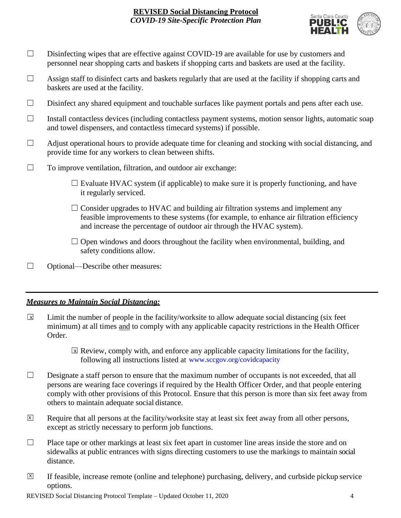

- □ Disinfecting wipes that are effective against COVID-19 are available for use by customers and personnel near shopping carts and baskets if shopping carts and baskets are used at the facility.
- $\Box$  Assign staff to disinfect carts and baskets regularly that are used at the facility if shopping carts and baskets are used at the facility.
- ☐ Disinfect any shared equipment and touchable surfaces like payment portals and pens after each use.
- ☐ Install contactless devices (including contactless payment systems, motion sensor lights, automatic soap and towel dispensers, and contactless timecard systems) if possible.
- $\Box$  Adjust operational hours to provide adequate time for cleaning and stocking with social distancing, and provide time for any workers to clean between shifts.
- $\Box$  To improve ventilation, filtration, and outdoor air exchange:
	- $\Box$  Evaluate HVAC system (if applicable) to make sure it is properly functioning, and have it regularly serviced.
	- $\Box$  Consider upgrades to HVAC and building air filtration systems and implement any feasible improvements to these systems (for example, to enhance air filtration efficiency and increase the percentage of outdoor air through the HVAC system).
	- $\Box$  Open windows and doors throughout the facility when environmental, building, and safety conditions allow.
- ☐ Optional—Describe other measures:

#### *Measures to Maintain Social Distancing:*

- Limit the number of people in the facility/worksite to allow adequate social distancing (six feet minimum) at all times and to comply with any applicable capacity restrictions in the Health Officer Order.  $\overline{\mathbf{x}}$ 
	- $\boxtimes$  Review, comply with, and enforce any applicable capacity limitations for the facility, following all instructions listed at www.sccgov.org/covidcapacity
- $\Box$  Designate a staff person to ensure that the maximum number of occupants is not exceeded, that all persons are wearing face coverings if required by the Health Officer Order, and that people entering comply with other provisions of this Protocol. Ensure that this person is more than six feet away from others to maintain adequate social distance.
- Require that all persons at the facility/worksite stay at least six feet away from all other persons, except as strictly necessary to perform job functions. X
- $\Box$  Place tape or other markings at least six feet apart in customer line areas inside the store and on sidewalks at public entrances with signs directing customers to use the markings to maintain social distance.
- ☐ If feasible, increase remote (online and telephone) purchasing, delivery, and curbside pickup service options.  $\overline{X}$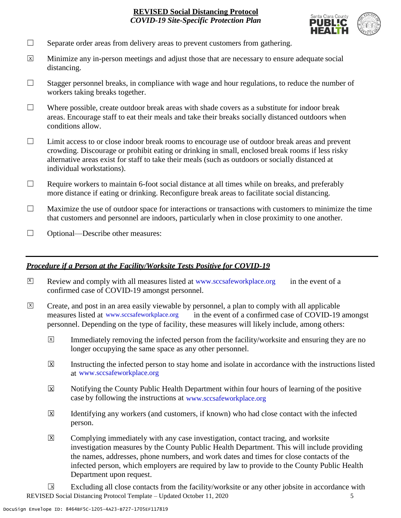

- $\Box$  Separate order areas from delivery areas to prevent customers from gathering.
- Minimize any in-person meetings and adjust those that are necessary to ensure adequate social distancing.  $\overline{x}$
- $\Box$  Stagger personnel breaks, in compliance with wage and hour regulations, to reduce the number of workers taking breaks together.
- $\Box$  Where possible, create outdoor break areas with shade covers as a substitute for indoor break areas. Encourage staff to eat their meals and take their breaks socially distanced outdoors when conditions allow.
- ☐ Limit access to or close indoor break rooms to encourage use of outdoor break areas and prevent crowding. Discourage or prohibit eating or drinking in small, enclosed break rooms if less risky alternative areas exist for staff to take their meals (such as outdoors or socially distanced at individual workstations).
- $\Box$  Require workers to maintain 6-foot social distance at all times while on breaks, and preferably more distance if eating or drinking. Reconfigure break areas to facilitate social distancing.
- $\Box$  Maximize the use of outdoor space for interactions or transactions with customers to minimize the time that customers and personnel are indoors, particularly when in close proximity to one another.
- ☐ Optional—Describe other measures:

#### *Procedure if a Person at the Facility/Worksite Tests Positive for COVID-19*

- $\boxtimes$  Review and comply with all measures listed at [www.sccsafeworkplace.org](http://www.sccsafeworkplace.org/) in the event of a confirmed case of COVID-19 amongst personnel. X
- ☐ Create, and post in an area easily viewable by personnel, a plan to comply with all applicable in the event of a confirmed case of COVID-19 amongst personnel. Depending on the type of facility, these measures will likely include, among others: measures listed at www.sccsafeworkplace.org  $\overline{X}$ 
	- Immediately removing the infected person from the facility/worksite and ensuring they are no longer occupying the same space as any other personnel.  $\overline{X}$
	- Instructing the infected person to stay home and isolate in accordance with the instructions listed at [www.sccsafeworkplace.org.](file:///C:/Users/raphael.rajendra/AppData/Local/Microsoft/Windows/INetCache/Content.Outlook/PTLHNOTE/www.sccsafeworkplace.org) www.sccsafeworkplace.org X
	- Notifying the County Public Health Department within four hours of learning of the positive case by following the instructions at www.sccsafeworkplace.org  $\overline{X}$
	- Identifying any workers (and customers, if known) who had close contact with the infected person.  $\overline{\mathsf{x}}$
	- Complying immediately with any case investigation, contact tracing, and worksite investigation measures by the County Public Health Department. This will include providing the names, addresses, phone numbers, and work dates and times for close contacts of the infected person, which employers are required by law to provide to the County Public Health Department upon request.  $\boxed{\mathsf{X}}$

REVISED Social Distancing Protocol Template – Updated October 11, 2020 5 Excluding all close contacts from the facility/worksite or any other jobsite in accordance with  $\sqrt{X}$